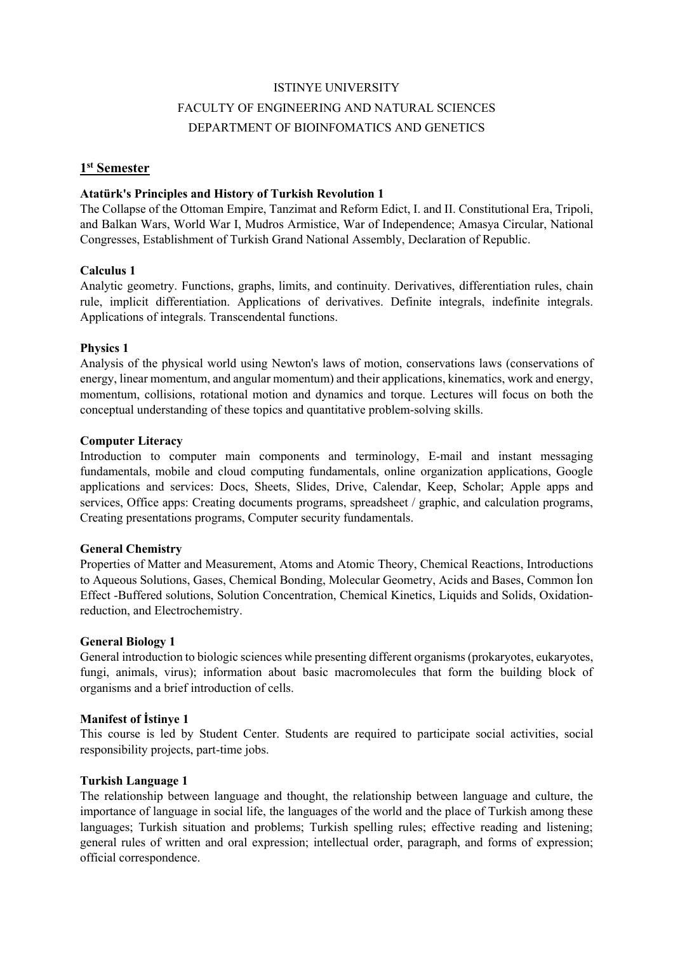# ISTINYE UNIVERSITY FACULTY OF ENGINEERING AND NATURAL SCIENCES DEPARTMENT OF BIOINFOMATICS AND GENETICS

### **1st Semester**

#### **Atatürk's Principles and History of Turkish Revolution 1**

The Collapse of the Ottoman Empire, Tanzimat and Reform Edict, I. and II. Constitutional Era, Tripoli, and Balkan Wars, World War I, Mudros Armistice, War of Independence; Amasya Circular, National Congresses, Establishment of Turkish Grand National Assembly, Declaration of Republic.

#### **Calculus 1**

Analytic geometry. Functions, graphs, limits, and continuity. Derivatives, differentiation rules, chain rule, implicit differentiation. Applications of derivatives. Definite integrals, indefinite integrals. Applications of integrals. Transcendental functions.

#### **Physics 1**

Analysis of the physical world using Newton's laws of motion, conservations laws (conservations of energy, linear momentum, and angular momentum) and their applications, kinematics, work and energy, momentum, collisions, rotational motion and dynamics and torque. Lectures will focus on both the conceptual understanding of these topics and quantitative problem-solving skills.

#### **Computer Literacy**

Introduction to computer main components and terminology, E-mail and instant messaging fundamentals, mobile and cloud computing fundamentals, online organization applications, Google applications and services: Docs, Sheets, Slides, Drive, Calendar, Keep, Scholar; Apple apps and services, Office apps: Creating documents programs, spreadsheet / graphic, and calculation programs, Creating presentations programs, Computer security fundamentals.

#### **General Chemistry**

Properties of Matter and Measurement, Atoms and Atomic Theory, Chemical Reactions, Introductions to Aqueous Solutions, Gases, Chemical Bonding, Molecular Geometry, Acids and Bases, Common İon Effect -Buffered solutions, Solution Concentration, Chemical Kinetics, Liquids and Solids, Oxidationreduction, and Electrochemistry.

#### **General Biology 1**

General introduction to biologic sciences while presenting different organisms (prokaryotes, eukaryotes, fungi, animals, virus); information about basic macromolecules that form the building block of organisms and a brief introduction of cells.

#### **Manifest of İstinye 1**

This course is led by Student Center. Students are required to participate social activities, social responsibility projects, part-time jobs.

#### **Turkish Language 1**

The relationship between language and thought, the relationship between language and culture, the importance of language in social life, the languages of the world and the place of Turkish among these languages; Turkish situation and problems; Turkish spelling rules; effective reading and listening; general rules of written and oral expression; intellectual order, paragraph, and forms of expression; official correspondence.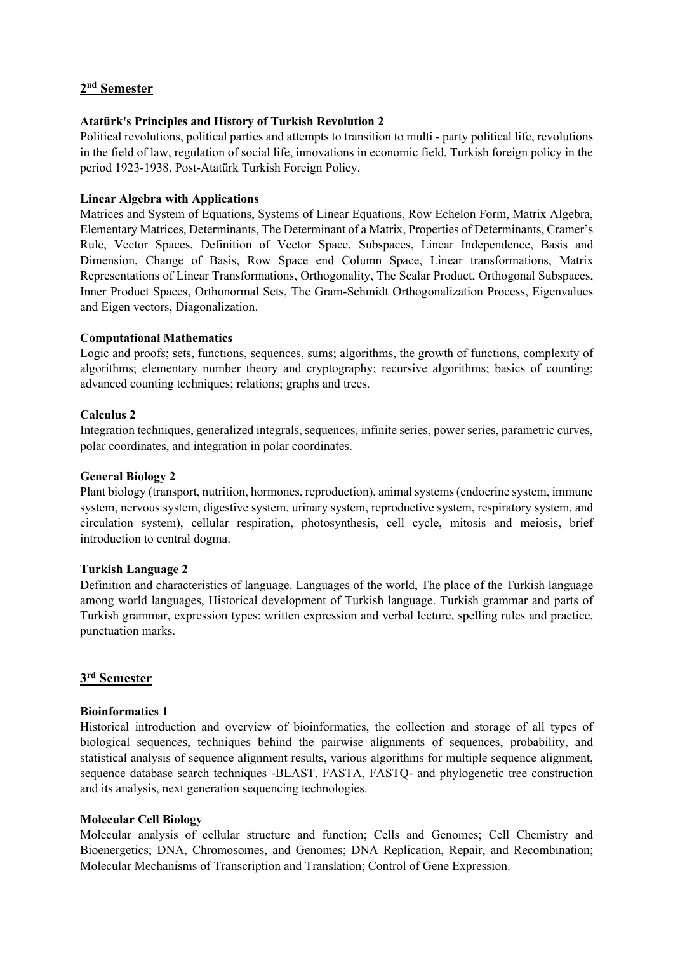### **2nd Semester**

#### **Atatürk's Principles and History of Turkish Revolution 2**

Political revolutions, political parties and attempts to transition to multi - party political life, revolutions in the field of law, regulation of social life, innovations in economic field, Turkish foreign policy in the period 1923-1938, Post-Atatürk Turkish Foreign Policy.

#### **Linear Algebra with Applications**

Matrices and System of Equations, Systems of Linear Equations, Row Echelon Form, Matrix Algebra, Elementary Matrices, Determinants, The Determinant of a Matrix, Properties of Determinants, Cramer's Rule, Vector Spaces, Definition of Vector Space, Subspaces, Linear Independence, Basis and Dimension, Change of Basis, Row Space end Column Space, Linear transformations, Matrix Representations of Linear Transformations, Orthogonality, The Scalar Product, Orthogonal Subspaces, Inner Product Spaces, Orthonormal Sets, The Gram-Schmidt Orthogonalization Process, Eigenvalues and Eigen vectors, Diagonalization.

### **Computational Mathematics**

Logic and proofs; sets, functions, sequences, sums; algorithms, the growth of functions, complexity of algorithms; elementary number theory and cryptography; recursive algorithms; basics of counting; advanced counting techniques; relations; graphs and trees.

### **Calculus 2**

Integration techniques, generalized integrals, sequences, infinite series, power series, parametric curves, polar coordinates, and integration in polar coordinates.

#### **General Biology 2**

Plant biology (transport, nutrition, hormones, reproduction), animal systems (endocrine system, immune system, nervous system, digestive system, urinary system, reproductive system, respiratory system, and circulation system), cellular respiration, photosynthesis, cell cycle, mitosis and meiosis, brief introduction to central dogma.

#### **Turkish Language 2**

Definition and characteristics of language. Languages of the world, The place of the Turkish language among world languages, Historical development of Turkish language. Turkish grammar and parts of Turkish grammar, expression types: written expression and verbal lecture, spelling rules and practice, punctuation marks.

### **3rd Semester**

#### **Bioinformatics 1**

Historical introduction and overview of bioinformatics, the collection and storage of all types of biological sequences, techniques behind the pairwise alignments of sequences, probability, and statistical analysis of sequence alignment results, various algorithms for multiple sequence alignment, sequence database search techniques -BLAST, FASTA, FASTQ- and phylogenetic tree construction and its analysis, next generation sequencing technologies.

#### **Molecular Cell Biology**

Molecular analysis of cellular structure and function; Cells and Genomes; Cell Chemistry and Bioenergetics; DNA, Chromosomes, and Genomes; DNA Replication, Repair, and Recombination; Molecular Mechanisms of Transcription and Translation; Control of Gene Expression.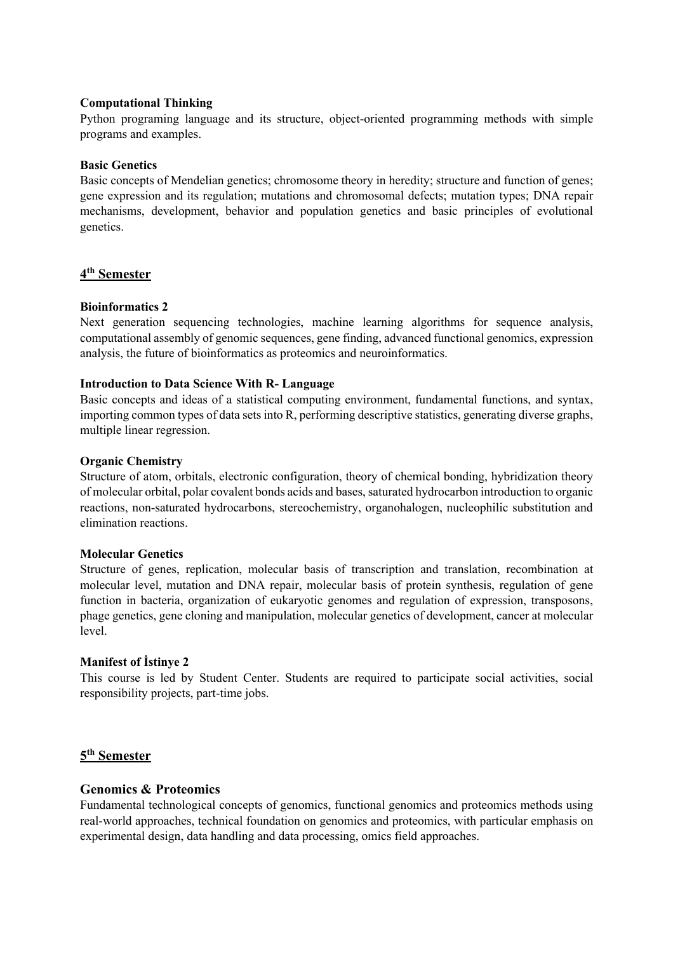#### **Computational Thinking**

Python programing language and its structure, object-oriented programming methods with simple programs and examples.

#### **Basic Genetics**

Basic concepts of Mendelian genetics; chromosome theory in heredity; structure and function of genes; gene expression and its regulation; mutations and chromosomal defects; mutation types; DNA repair mechanisms, development, behavior and population genetics and basic principles of evolutional genetics.

### **4th Semester**

### **Bioinformatics 2**

Next generation sequencing technologies, machine learning algorithms for sequence analysis, computational assembly of genomic sequences, gene finding, advanced functional genomics, expression analysis, the future of bioinformatics as proteomics and neuroinformatics.

### **Introduction to Data Science With R- Language**

Basic concepts and ideas of a statistical computing environment, fundamental functions, and syntax, importing common types of data sets into R, performing descriptive statistics, generating diverse graphs, multiple linear regression.

#### **Organic Chemistry**

Structure of atom, orbitals, electronic configuration, theory of chemical bonding, hybridization theory of molecular orbital, polar covalent bonds acids and bases, saturated hydrocarbon introduction to organic reactions, non-saturated hydrocarbons, stereochemistry, organohalogen, nucleophilic substitution and elimination reactions.

#### **Molecular Genetics**

Structure of genes, replication, molecular basis of transcription and translation, recombination at molecular level, mutation and DNA repair, molecular basis of protein synthesis, regulation of gene function in bacteria, organization of eukaryotic genomes and regulation of expression, transposons, phage genetics, gene cloning and manipulation, molecular genetics of development, cancer at molecular level.

#### **Manifest of İstinye 2**

This course is led by Student Center. Students are required to participate social activities, social responsibility projects, part-time jobs.

### **5th Semester**

### **Genomics & Proteomics**

Fundamental technological concepts of genomics, functional genomics and proteomics methods using real-world approaches, technical foundation on genomics and proteomics, with particular emphasis on experimental design, data handling and data processing, omics field approaches.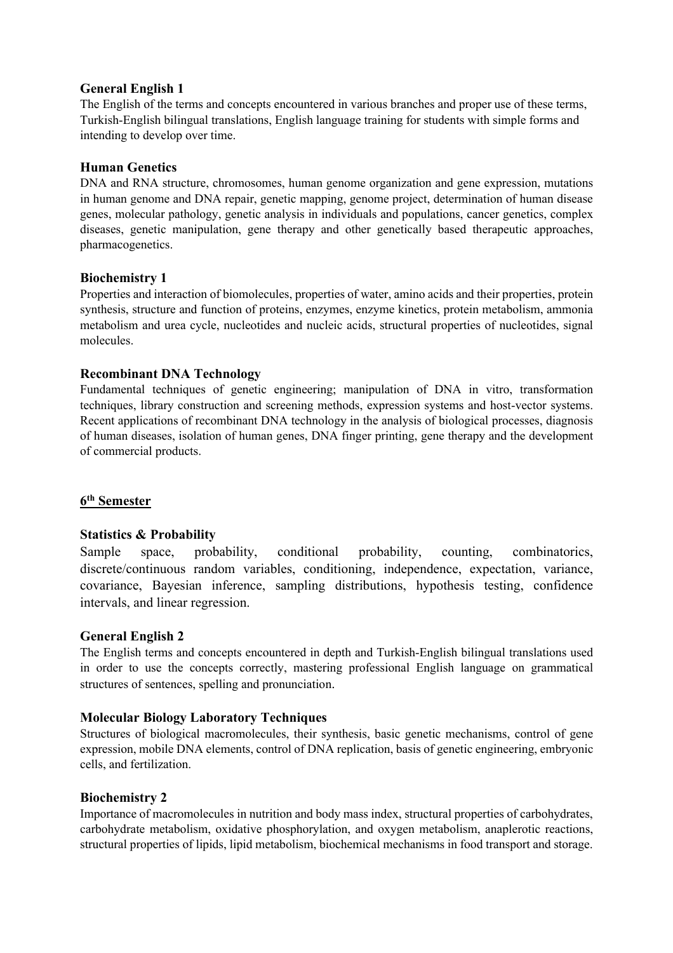# **General English 1**

The English of the terms and concepts encountered in various branches and proper use of these terms, Turkish-English bilingual translations, English language training for students with simple forms and intending to develop over time.

# **Human Genetics**

DNA and RNA structure, chromosomes, human genome organization and gene expression, mutations in human genome and DNA repair, genetic mapping, genome project, determination of human disease genes, molecular pathology, genetic analysis in individuals and populations, cancer genetics, complex diseases, genetic manipulation, gene therapy and other genetically based therapeutic approaches, pharmacogenetics.

### **Biochemistry 1**

Properties and interaction of biomolecules, properties of water, amino acids and their properties, protein synthesis, structure and function of proteins, enzymes, enzyme kinetics, protein metabolism, ammonia metabolism and urea cycle, nucleotides and nucleic acids, structural properties of nucleotides, signal molecules.

# **Recombinant DNA Technology**

Fundamental techniques of genetic engineering; manipulation of DNA in vitro, transformation techniques, library construction and screening methods, expression systems and host-vector systems. Recent applications of recombinant DNA technology in the analysis of biological processes, diagnosis of human diseases, isolation of human genes, DNA finger printing, gene therapy and the development of commercial products.

# **6th Semester**

### **Statistics & Probability**

Sample space, probability, conditional probability, counting, combinatorics, discrete/continuous random variables, conditioning, independence, expectation, variance, covariance, Bayesian inference, sampling distributions, hypothesis testing, confidence intervals, and linear regression.

### **General English 2**

The English terms and concepts encountered in depth and Turkish-English bilingual translations used in order to use the concepts correctly, mastering professional English language on grammatical structures of sentences, spelling and pronunciation.

### **Molecular Biology Laboratory Techniques**

Structures of biological macromolecules, their synthesis, basic genetic mechanisms, control of gene expression, mobile DNA elements, control of DNA replication, basis of genetic engineering, embryonic cells, and fertilization.

### **Biochemistry 2**

Importance of macromolecules in nutrition and body mass index, structural properties of carbohydrates, carbohydrate metabolism, oxidative phosphorylation, and oxygen metabolism, anaplerotic reactions, structural properties of lipids, lipid metabolism, biochemical mechanisms in food transport and storage.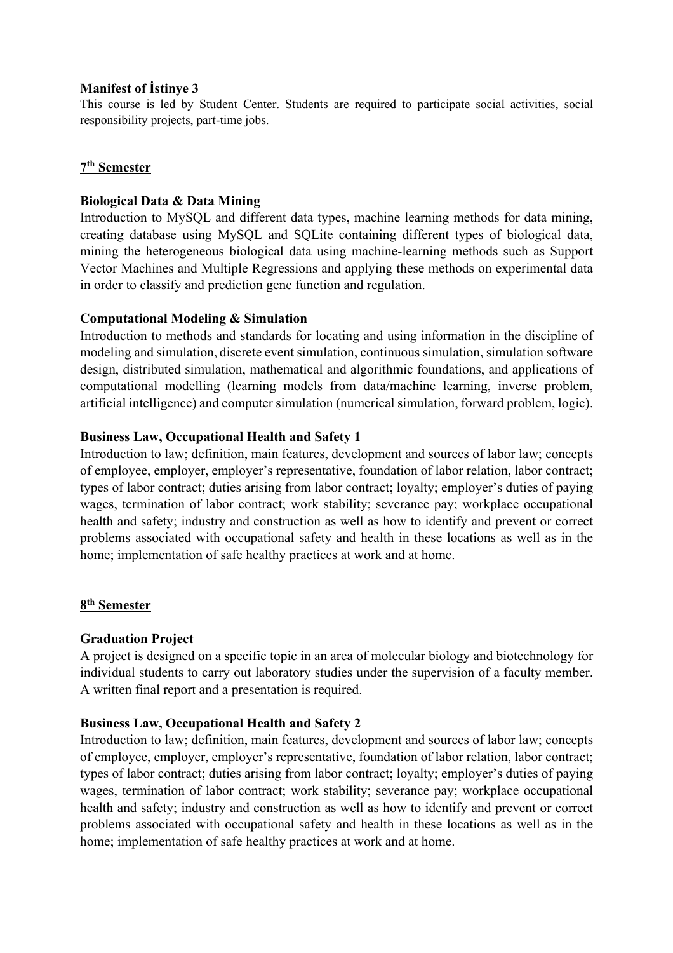# **Manifest of İstinye 3**

This course is led by Student Center. Students are required to participate social activities, social responsibility projects, part-time jobs.

# **7th Semester**

# **Biological Data & Data Mining**

Introduction to MySQL and different data types, machine learning methods for data mining, creating database using MySQL and SQLite containing different types of biological data, mining the heterogeneous biological data using machine-learning methods such as Support Vector Machines and Multiple Regressions and applying these methods on experimental data in order to classify and prediction gene function and regulation.

# **Computational Modeling & Simulation**

Introduction to methods and standards for locating and using information in the discipline of modeling and simulation, discrete event simulation, continuous simulation, simulation software design, distributed simulation, mathematical and algorithmic foundations, and applications of computational modelling (learning models from data/machine learning, inverse problem, artificial intelligence) and computer simulation (numerical simulation, forward problem, logic).

# **Business Law, Occupational Health and Safety 1**

Introduction to law; definition, main features, development and sources of labor law; concepts of employee, employer, employer's representative, foundation of labor relation, labor contract; types of labor contract; duties arising from labor contract; loyalty; employer's duties of paying wages, termination of labor contract; work stability; severance pay; workplace occupational health and safety; industry and construction as well as how to identify and prevent or correct problems associated with occupational safety and health in these locations as well as in the home; implementation of safe healthy practices at work and at home.

### **8th Semester**

### **Graduation Project**

A project is designed on a specific topic in an area of molecular biology and biotechnology for individual students to carry out laboratory studies under the supervision of a faculty member. A written final report and a presentation is required.

### **Business Law, Occupational Health and Safety 2**

Introduction to law; definition, main features, development and sources of labor law; concepts of employee, employer, employer's representative, foundation of labor relation, labor contract; types of labor contract; duties arising from labor contract; loyalty; employer's duties of paying wages, termination of labor contract; work stability; severance pay; workplace occupational health and safety; industry and construction as well as how to identify and prevent or correct problems associated with occupational safety and health in these locations as well as in the home; implementation of safe healthy practices at work and at home.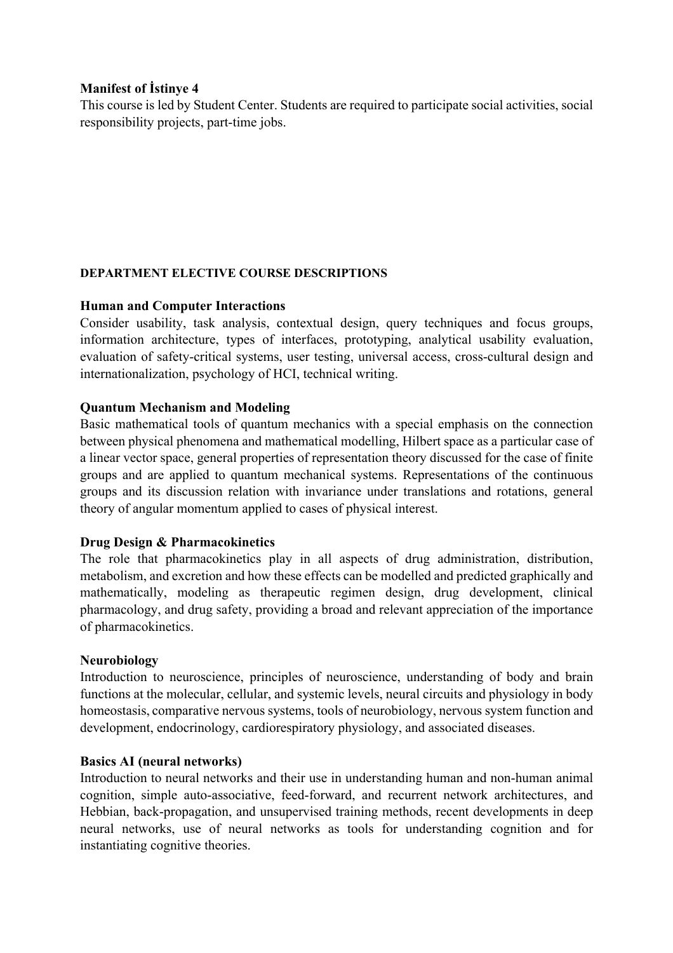# **Manifest of İstinye 4**

This course is led by Student Center. Students are required to participate social activities, social responsibility projects, part-time jobs.

# **DEPARTMENT ELECTIVE COURSE DESCRIPTIONS**

# **Human and Computer Interactions**

Consider usability, task analysis, contextual design, query techniques and focus groups, information architecture, types of interfaces, prototyping, analytical usability evaluation, evaluation of safety-critical systems, user testing, universal access, cross-cultural design and internationalization, psychology of HCI, technical writing.

# **Quantum Mechanism and Modeling**

Basic mathematical tools of quantum mechanics with a special emphasis on the connection between physical phenomena and mathematical modelling, Hilbert space as a particular case of a linear vector space, general properties of representation theory discussed for the case of finite groups and are applied to quantum mechanical systems. Representations of the continuous groups and its discussion relation with invariance under translations and rotations, general theory of angular momentum applied to cases of physical interest.

# **Drug Design & Pharmacokinetics**

The role that pharmacokinetics play in all aspects of drug administration, distribution, metabolism, and excretion and how these effects can be modelled and predicted graphically and mathematically, modeling as therapeutic regimen design, drug development, clinical pharmacology, and drug safety, providing a broad and relevant appreciation of the importance of pharmacokinetics.

# **Neurobiology**

Introduction to neuroscience, principles of neuroscience, understanding of body and brain functions at the molecular, cellular, and systemic levels, neural circuits and physiology in body homeostasis, comparative nervous systems, tools of neurobiology, nervous system function and development, endocrinology, cardiorespiratory physiology, and associated diseases.

# **Basics AI (neural networks)**

Introduction to neural networks and their use in understanding human and non-human animal cognition, simple auto-associative, feed-forward, and recurrent network architectures, and Hebbian, back-propagation, and unsupervised training methods, recent developments in deep neural networks, use of neural networks as tools for understanding cognition and for instantiating cognitive theories.